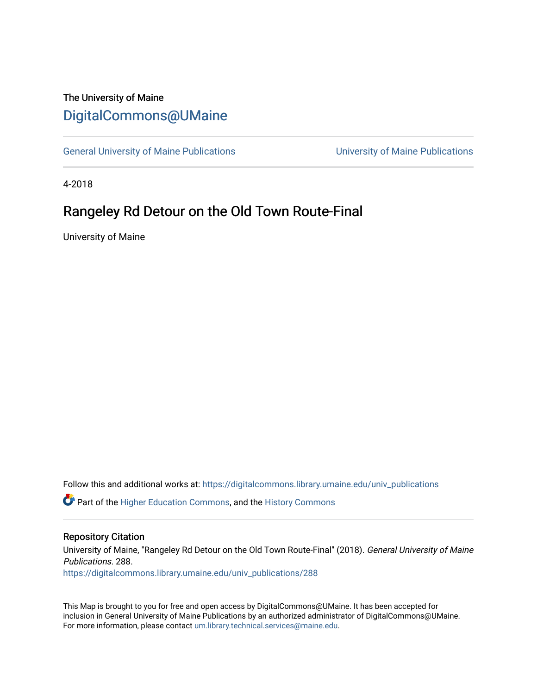# The University of Maine [DigitalCommons@UMaine](https://digitalcommons.library.umaine.edu/)

[General University of Maine Publications](https://digitalcommons.library.umaine.edu/univ_publications) [University of Maine Publications](https://digitalcommons.library.umaine.edu/umaine_publications) 

4-2018

# Rangeley Rd Detour on the Old Town Route-Final

University of Maine

Follow this and additional works at: [https://digitalcommons.library.umaine.edu/univ\\_publications](https://digitalcommons.library.umaine.edu/univ_publications?utm_source=digitalcommons.library.umaine.edu%2Funiv_publications%2F288&utm_medium=PDF&utm_campaign=PDFCoverPages) 

**C** Part of the [Higher Education Commons,](http://network.bepress.com/hgg/discipline/1245?utm_source=digitalcommons.library.umaine.edu%2Funiv_publications%2F288&utm_medium=PDF&utm_campaign=PDFCoverPages) and the [History Commons](http://network.bepress.com/hgg/discipline/489?utm_source=digitalcommons.library.umaine.edu%2Funiv_publications%2F288&utm_medium=PDF&utm_campaign=PDFCoverPages)

#### Repository Citation

University of Maine, "Rangeley Rd Detour on the Old Town Route-Final" (2018). General University of Maine Publications. 288.

[https://digitalcommons.library.umaine.edu/univ\\_publications/288](https://digitalcommons.library.umaine.edu/univ_publications/288?utm_source=digitalcommons.library.umaine.edu%2Funiv_publications%2F288&utm_medium=PDF&utm_campaign=PDFCoverPages) 

This Map is brought to you for free and open access by DigitalCommons@UMaine. It has been accepted for inclusion in General University of Maine Publications by an authorized administrator of DigitalCommons@UMaine. For more information, please contact [um.library.technical.services@maine.edu](mailto:um.library.technical.services@maine.edu).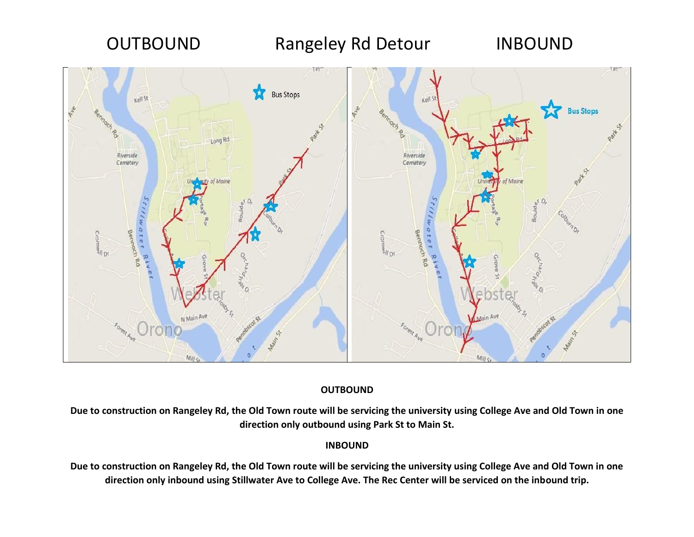

### **OUTBOUND**

**Due to construction on Rangeley Rd, the Old Town route will be servicing the university using College Ave and Old Town in one direction only outbound using Park St to Main St.**

### **INBOUND**

**Due to construction on Rangeley Rd, the Old Town route will be servicing the university using College Ave and Old Town in one direction only inbound using Stillwater Ave to College Ave. The Rec Center will be serviced on the inbound trip.**